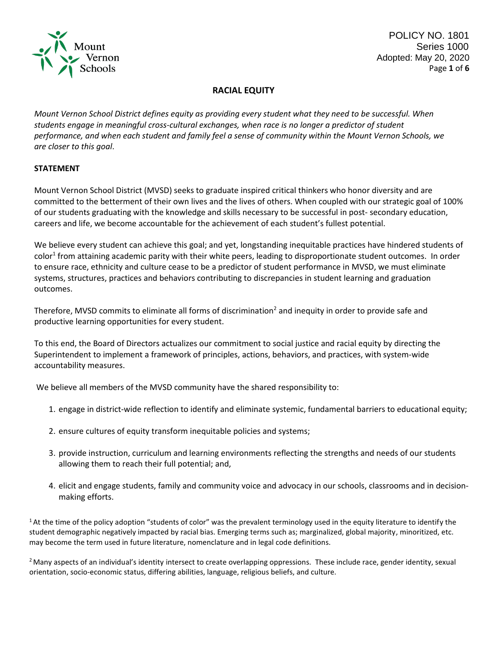

# **RACIAL EQUITY**

*Mount Vernon School District defines equity as providing every student what they need to be successful. When students engage in meaningful cross‐cultural exchanges, when race is no longer a predictor of student performance, and when each student and family feel a sense of community within the Mount Vernon Schools, we are closer to this goal*.

## **STATEMENT**

Mount Vernon School District (MVSD) seeks to graduate inspired critical thinkers who honor diversity and are committed to the betterment of their own lives and the lives of others. When coupled with our strategic goal of 100% of our students graduating with the knowledge and skills necessary to be successful in post‐ secondary education, careers and life, we become accountable for the achievement of each student's fullest potential.

We believe every student can achieve this goal; and yet, longstanding inequitable practices have hindered students of color<sup>1</sup> from attaining academic parity with their white peers, leading to disproportionate student outcomes. In order to ensure race, ethnicity and culture cease to be a predictor of student performance in MVSD, we must eliminate systems, structures, practices and behaviors contributing to discrepancies in student learning and graduation outcomes.

Therefore, MVSD commits to eliminate all forms of discrimination<sup>2</sup> and inequity in order to provide safe and productive learning opportunities for every student.

To this end, the Board of Directors actualizes our commitment to social justice and racial equity by directing the Superintendent to implement a framework of principles, actions, behaviors, and practices, with system‐wide accountability measures.

We believe all members of the MVSD community have the shared responsibility to:

- 1. engage in district-wide reflection to identify and eliminate systemic, fundamental barriers to educational equity;
- 2. ensure cultures of equity transform inequitable policies and systems;
- 3. provide instruction, curriculum and learning environments reflecting the strengths and needs of our students allowing them to reach their full potential; and,
- 4. elicit and engage students, family and community voice and advocacy in our schools, classrooms and in decision‐ making efforts.

 $1$ At the time of the policy adoption "students of color" was the prevalent terminology used in the equity literature to identify the student demographic negatively impacted by racial bias. Emerging terms such as; marginalized, global majority, minoritized, etc. may become the term used in future literature, nomenclature and in legal code definitions.

<sup>2</sup> Many aspects of an individual's identity intersect to create overlapping oppressions. These include race, gender identity, sexual orientation, socio-economic status, differing abilities, language, religious beliefs, and culture.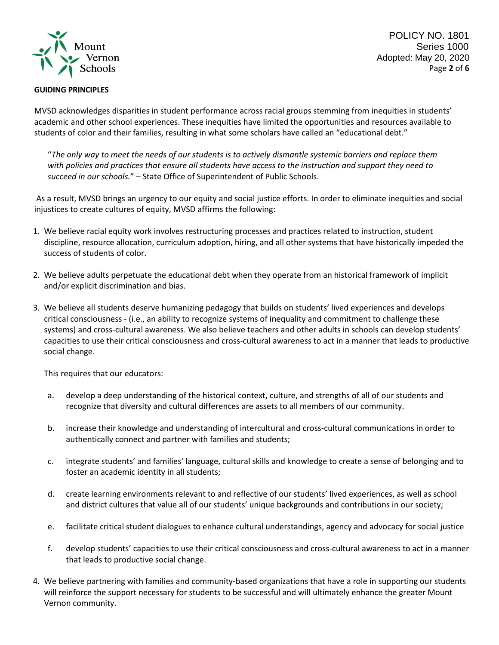

### **GUIDING PRINCIPLES**

POLICY NO. 1801 Series 1000 Adopted: May 20, 2020 Page **2** of **6**

MVSD acknowledges disparities in student performance across racial groups stemming from inequities in students' academic and other school experiences. These inequities have limited the opportunities and resources available to students of color and their families, resulting in what some scholars have called an "educational debt."

"*The only way to meet the needs of our students is to actively dismantle systemic barriers and replace them with policies and practices that ensure all students have access to the instruction and support they need to succeed in our schools.*" – State Office of Superintendent of Public Schools.

As a result, MVSD brings an urgency to our equity and social justice efforts. In order to eliminate inequities and social injustices to create cultures of equity, MVSD affirms the following:

- 1. We believe racial equity work involves restructuring processes and practices related to instruction, student discipline, resource allocation, curriculum adoption, hiring, and all other systems that have historically impeded the success of students of color.
- 2. We believe adults perpetuate the educational debt when they operate from an historical framework of implicit and/or explicit discrimination and bias.
- 3. We believe all students deserve humanizing pedagogy that builds on students' lived experiences and develops critical consciousness - (i.e., an ability to recognize systems of inequality and commitment to challenge these systems) and cross-cultural awareness. We also believe teachers and other adults in schools can develop students' capacities to use their critical consciousness and cross-cultural awareness to act in a manner that leads to productive social change.

This requires that our educators:

- a. develop a deep understanding of the historical context, culture, and strengths of all of our students and recognize that diversity and cultural differences are assets to all members of our community.
- b. increase their knowledge and understanding of intercultural and cross-cultural communications in order to authentically connect and partner with families and students;
- c. integrate students' and families' language, cultural skills and knowledge to create a sense of belonging and to foster an academic identity in all students;
- d. create learning environments relevant to and reflective of our students' lived experiences, as well as school and district cultures that value all of our students' unique backgrounds and contributions in our society;
- e. facilitate critical student dialogues to enhance cultural understandings, agency and advocacy for social justice
- f. develop students' capacities to use their critical consciousness and cross-cultural awareness to act in a manner that leads to productive social change.
- 4. We believe partnering with families and community‐based organizations that have a role in supporting our students will reinforce the support necessary for students to be successful and will ultimately enhance the greater Mount Vernon community.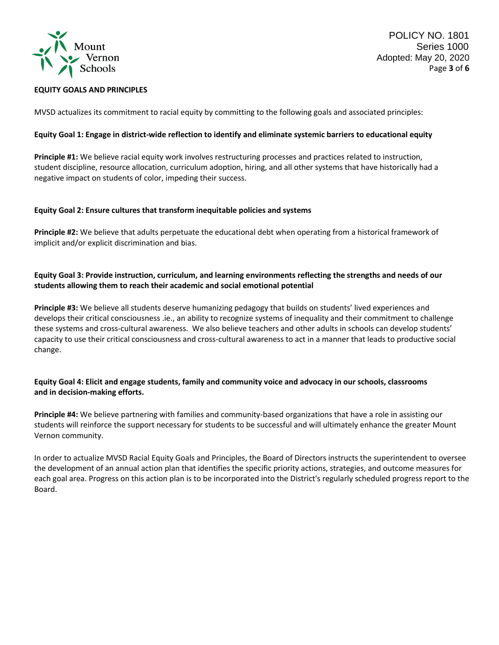

POLICY NO. 1801 Series 1000 Adopted: May 20, 2020 Page **3** of **6**

#### **EQUITY GOALS AND PRINCIPLES**

MVSD actualizes its commitment to racial equity by committing to the following goals and associated principles:

#### **Equity Goal 1: Engage in district‐wide reflection to identify and eliminate systemic barriers to educational equity**

**Principle #1:** We believe racial equity work involves restructuring processes and practices related to instruction, student discipline, resource allocation, curriculum adoption, hiring, and all other systems that have historically had a negative impact on students of color, impeding their success.

#### **Equity Goal 2: Ensure cultures that transform inequitable policies and systems**

**Principle #2:** We believe that adults perpetuate the educational debt when operating from a historical framework of implicit and/or explicit discrimination and bias.

### **Equity Goal 3: Provide instruction, curriculum, and learning environments reflecting the strengths and needs of our students allowing them to reach their academic and social emotional potential**

**Principle #3:** We believe all students deserve humanizing pedagogy that builds on students' lived experiences and develops their critical consciousness .ie., an ability to recognize systems of inequality and their commitment to challenge these systems and cross‐cultural awareness. We also believe teachers and other adults in schools can develop students' capacity to use their critical consciousness and cross-cultural awareness to act in a manner that leads to productive social change.

## **Equity Goal 4: Elicit and engage students, family and community voice and advocacy in our schools, classrooms and in decision‐making efforts.**

**Principle #4:** We believe partnering with families and community‐based organizations that have a role in assisting our students will reinforce the support necessary for students to be successful and will ultimately enhance the greater Mount Vernon community.

In order to actualize MVSD Racial Equity Goals and Principles, the Board of Directors instructs the superintendent to oversee the development of an annual action plan that identifies the specific priority actions, strategies, and outcome measures for each goal area. Progress on this action plan is to be incorporated into the District's regularly scheduled progress report to the Board.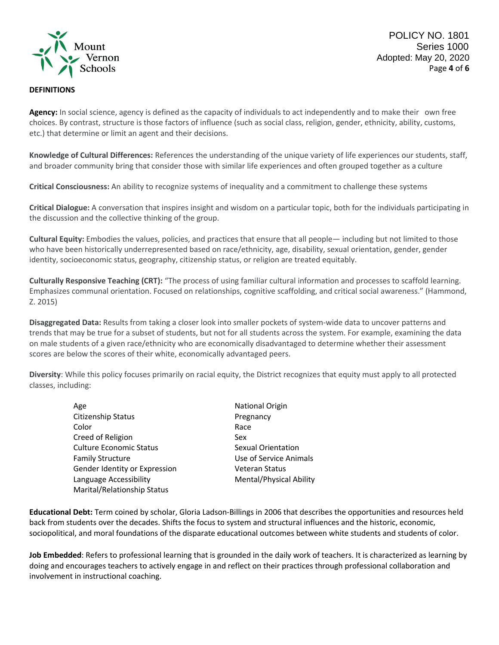

POLICY NO. 1801 Series 1000 Adopted: May 20, 2020 Page **4** of **6**

#### **DEFINITIONS**

Agency: In social science, agency is defined as the capacity of individuals to act independently and to make their own free choices. By contrast, structure is those factors of influence (such as social class, religion, gender, ethnicity, ability, customs, etc.) that determine or limit an agent and their decisions.

**Knowledge of Cultural Differences:** References the understanding of the unique variety of life experiences our students, staff, and broader community bring that consider those with similar life experiences and often grouped together as a culture

**Critical Consciousness:** An ability to recognize systems of inequality and a commitment to challenge these systems

**Critical Dialogue:** A conversation that inspires insight and wisdom on a particular topic, both for the individuals participating in the discussion and the collective thinking of the group.

**Cultural Equity:** Embodies the values, policies, and practices that ensure that all people— including but not limited to those who have been historically underrepresented based on race/ethnicity, age, disability, sexual orientation, gender, gender identity, socioeconomic status, geography, citizenship status, or religion are treated equitably.

**Culturally Responsive Teaching (CRT):** "The process of using familiar cultural information and processes to scaffold learning. Emphasizes communal orientation. Focused on relationships, cognitive scaffolding, and critical social awareness." (Hammond, Z. 2015)

**Disaggregated Data:** Results from taking a closer look into smaller pockets of system‐wide data to uncover patterns and trends that may be true for a subset of students, but not for all students across the system. For example, examining the data on male students of a given race/ethnicity who are economically disadvantaged to determine whether their assessment scores are below the scores of their white, economically advantaged peers.

**Diversity**: While this policy focuses primarily on racial equity, the District recognizes that equity must apply to all protected classes, including:

| Age                            | <b>National Origin</b>    |
|--------------------------------|---------------------------|
| Citizenship Status             | Pregnancy                 |
| Color                          | Race                      |
| Creed of Religion              | Sex                       |
| <b>Culture Economic Status</b> | <b>Sexual Orientation</b> |
| <b>Family Structure</b>        | Use of Service Animals    |
| Gender Identity or Expression  | <b>Veteran Status</b>     |
| Language Accessibility         | Mental/Physical Ability   |
| Marital/Relationship Status    |                           |
|                                |                           |

**Educational Debt:** Term coined by scholar, Gloria Ladson‐Billings in 2006 that describes the opportunities and resources held back from students over the decades. Shifts the focus to system and structural influences and the historic, economic, sociopolitical, and moral foundations of the disparate educational outcomes between white students and students of color.

**Job Embedded**: Refers to professional learning that is grounded in the daily work of teachers. It is characterized as learning by doing and encourages teachers to actively engage in and reflect on their practices through professional collaboration and involvement in instructional coaching.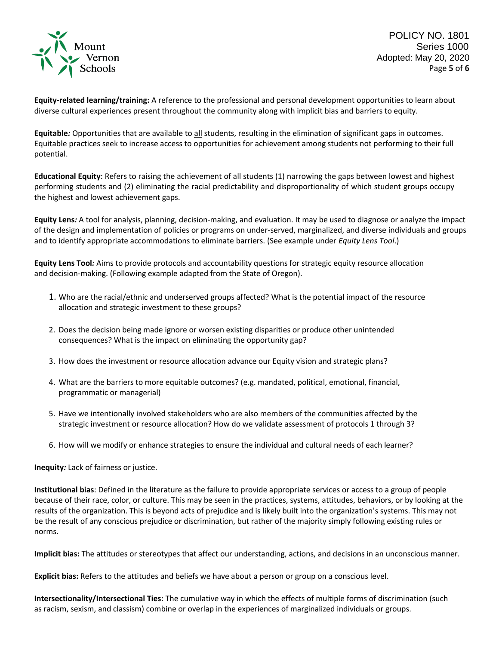

POLICY NO. 1801 Series 1000 Adopted: May 20, 2020 Page **5** of **6**

**Equity‐related learning/training:** A reference to the professional and personal development opportunities to learn about diverse cultural experiences present throughout the community along with implicit bias and barriers to equity.

**Equitable***:* Opportunities that are available to all students, resulting in the elimination of significant gaps in outcomes. Equitable practices seek to increase access to opportunities for achievement among students not performing to their full potential.

**Educational Equity**: Refers to raising the achievement of all students (1) narrowing the gaps between lowest and highest performing students and (2) eliminating the racial predictability and disproportionality of which student groups occupy the highest and lowest achievement gaps.

**Equity Lens***:* A tool for analysis, planning, decision‐making, and evaluation. It may be used to diagnose or analyze the impact of the design and implementation of policies or programs on under‐served, marginalized, and diverse individuals and groups and to identify appropriate accommodations to eliminate barriers. (See example under *Equity Lens Tool*.)

**Equity Lens Tool***:* Aims to provide protocols and accountability questions for strategic equity resource allocation and decision-making. (Following example adapted from the State of Oregon).

- 1. Who are the racial/ethnic and underserved groups affected? What is the potential impact of the resource allocation and strategic investment to these groups?
- 2. Does the decision being made ignore or worsen existing disparities or produce other unintended consequences? What is the impact on eliminating the opportunity gap?
- 3. How does the investment or resource allocation advance our Equity vision and strategic plans?
- 4. What are the barriers to more equitable outcomes? (e.g. mandated, political, emotional, financial, programmatic or managerial)
- 5. Have we intentionally involved stakeholders who are also members of the communities affected by the strategic investment or resource allocation? How do we validate assessment of protocols 1 through 3?
- 6. How will we modify or enhance strategies to ensure the individual and cultural needs of each learner?

**Inequity***:* Lack of fairness or justice.

**Institutional bias**: Defined in the literature as the failure to provide appropriate services or access to a group of people because of their race, color, or culture. This may be seen in the practices, systems, attitudes, behaviors, or by looking at the results of the organization. This is beyond acts of prejudice and is likely built into the organization's systems. This may not be the result of any conscious prejudice or discrimination, but rather of the majority simply following existing rules or norms.

**Implicit bias:** The attitudes or stereotypes that affect our understanding, actions, and decisions in an unconscious manner.

**Explicit bias:** Refers to the attitudes and beliefs we have about a person or group on a conscious level.

**Intersectionality/Intersectional Ties**: The cumulative way in which the effects of multiple forms of discrimination (such as racism, sexism, and classism) combine or overlap in the experiences of marginalized individuals or groups.